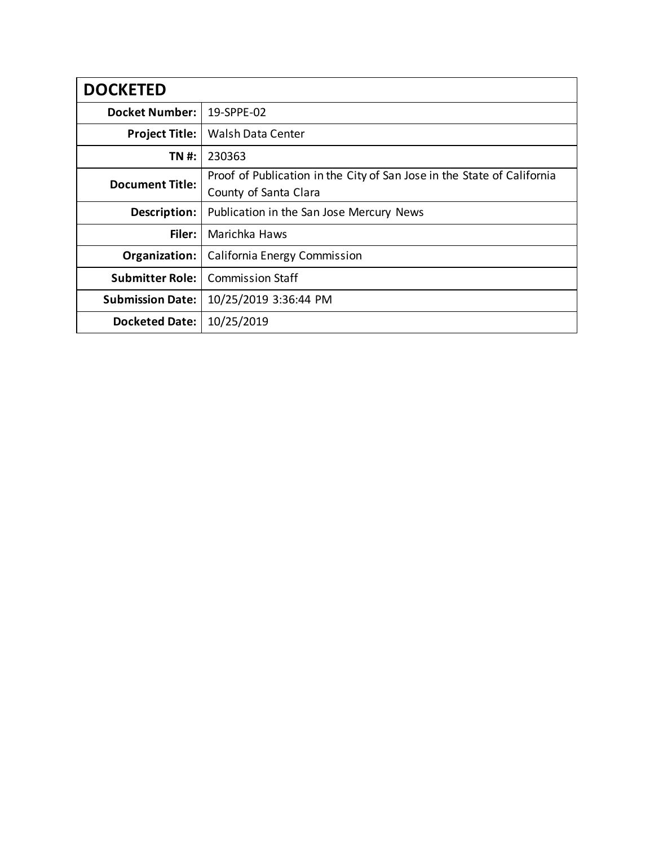| <b>DOCKETED</b>         |                                                                         |
|-------------------------|-------------------------------------------------------------------------|
| <b>Docket Number:</b>   | 19-SPPE-02                                                              |
| <b>Project Title:</b>   | <b>Walsh Data Center</b>                                                |
| TN #:                   | 230363                                                                  |
| <b>Document Title:</b>  | Proof of Publication in the City of San Jose in the State of California |
|                         | County of Santa Clara                                                   |
| Description:            | Publication in the San Jose Mercury News                                |
| Filer:                  | Marichka Haws                                                           |
| Organization:           | California Energy Commission                                            |
| <b>Submitter Role:</b>  | <b>Commission Staff</b>                                                 |
| <b>Submission Date:</b> | 10/25/2019 3:36:44 PM                                                   |
| <b>Docketed Date:</b>   | 10/25/2019                                                              |